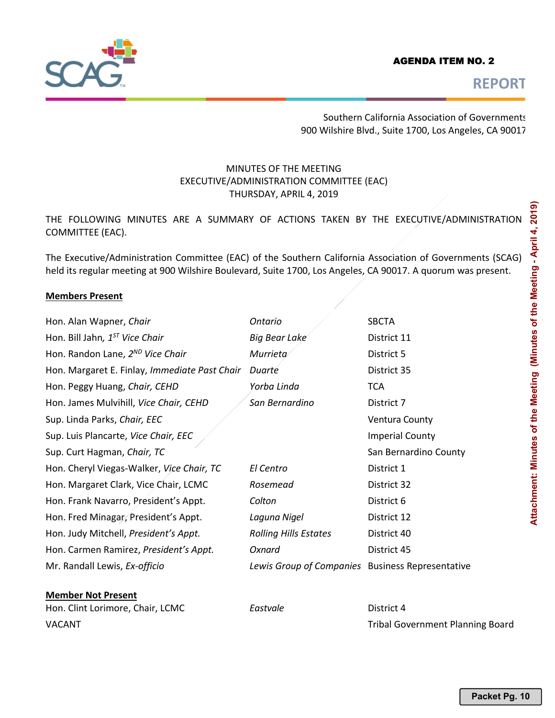## AGENDA ITEM NO. 2



**REPORT** 

Southern California Association of Governments 900 Wilshire Blvd., Suite 1700, Los Angeles, CA 90017

## MINUTES OF THE MEETING EXECUTIVE/ADMINISTRATION COMMITTEE (EAC) THURSDAY, APRIL 4, 2019

THE FOLLOWING MINUTES ARE A SUMMARY OF ACTIONS TAKEN BY THE EXECUTIVE/ADMINISTRATION COMMITTEE (EAC).

The Executive/Administration Committee (EAC) of the Southern California Association of Governments (SCAG) held its regular meeting at 900 Wilshire Boulevard, Suite 1700, Los Angeles, CA 90017. A quorum was present.

#### **Members Present**

| Hon. Alan Wapner, Chair                       | Ontario                                          | <b>SBCTA</b>           |
|-----------------------------------------------|--------------------------------------------------|------------------------|
| Hon. Bill Jahn, 1 <sup>ST</sup> Vice Chair    | <b>Big Bear Lake</b>                             | District 11            |
| Hon. Randon Lane, 2 <sup>ND</sup> Vice Chair  | Murrieta                                         | District 5             |
| Hon. Margaret E. Finlay, Immediate Past Chair | Duarte                                           | District 35            |
| Hon. Peggy Huang, Chair, CEHD                 | Yorba Linda                                      | <b>TCA</b>             |
| Hon. James Mulvihill, Vice Chair, CEHD        | San Bernardino                                   | District 7             |
| Sup. Linda Parks, Chair, EEC                  |                                                  | <b>Ventura County</b>  |
| Sup. Luis Plancarte, Vice Chair, EEC          |                                                  | <b>Imperial County</b> |
| Sup. Curt Hagman, Chair, TC                   |                                                  | San Bernardino County  |
| Hon. Cheryl Viegas-Walker, Vice Chair, TC     | El Centro                                        | District 1             |
| Hon. Margaret Clark, Vice Chair, LCMC         | Rosemead                                         | District 32            |
| Hon. Frank Navarro, President's Appt.         | Colton                                           | District 6             |
| Hon. Fred Minagar, President's Appt.          | Laguna Nigel                                     | District 12            |
| Hon. Judy Mitchell, President's Appt.         | <b>Rolling Hills Estates</b>                     | District 40            |
| Hon. Carmen Ramirez, President's Appt.        | Oxnard                                           | District 45            |
| Mr. Randall Lewis, Ex-officio                 | Lewis Group of Companies Business Representative |                        |
| <b>Member Not Present</b>                     |                                                  |                        |
|                                               |                                                  |                        |

Hon. Clint Lorimore, Chair, LCMC **Eastvale Eastvale District 4** VACANT Tribal Government Planning Board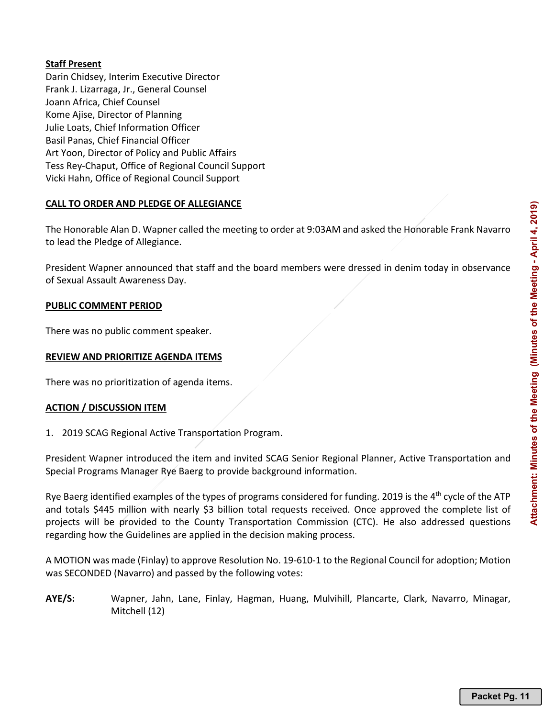## **Staff Present**

Darin Chidsey, Interim Executive Director Frank J. Lizarraga, Jr., General Counsel Joann Africa, Chief Counsel Kome Ajise, Director of Planning Julie Loats, Chief Information Officer Basil Panas, Chief Financial Officer Art Yoon, Director of Policy and Public Affairs Tess Rey-Chaput, Office of Regional Council Support Vicki Hahn, Office of Regional Council Support

## **CALL TO ORDER AND PLEDGE OF ALLEGIANCE**

The Honorable Alan D. Wapner called the meeting to order at 9:03AM and asked the Honorable Frank Navarro to lead the Pledge of Allegiance.

President Wapner announced that staff and the board members were dressed in denim today in observance of Sexual Assault Awareness Day.

## **PUBLIC COMMENT PERIOD**

There was no public comment speaker.

## **REVIEW AND PRIORITIZE AGENDA ITEMS**

There was no prioritization of agenda items.

#### **ACTION / DISCUSSION ITEM**

1. 2019 SCAG Regional Active Transportation Program.

President Wapner introduced the item and invited SCAG Senior Regional Planner, Active Transportation and Special Programs Manager Rye Baerg to provide background information.

Rye Baerg identified examples of the types of programs considered for funding. 2019 is the  $4<sup>th</sup>$  cycle of the ATP and totals \$445 million with nearly \$3 billion total requests received. Once approved the complete list of projects will be provided to the County Transportation Commission (CTC). He also addressed questions regarding how the Guidelines are applied in the decision making process.

A MOTION was made (Finlay) to approve Resolution No. 19-610-1 to the Regional Council for adoption; Motion was SECONDED (Navarro) and passed by the following votes:

**AYE/S:** Wapner, Jahn, Lane, Finlay, Hagman, Huang, Mulvihill, Plancarte, Clark, Navarro, Minagar, Mitchell (12)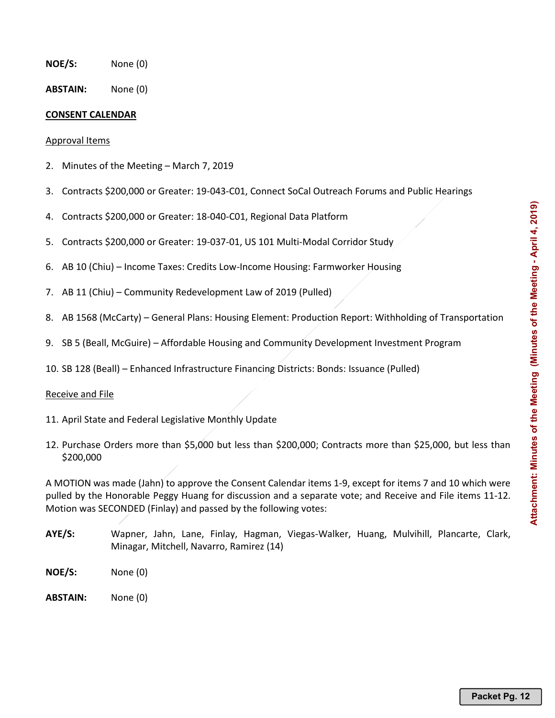- **NOE/S:** None (0)
- **ABSTAIN:** None (0)

## **CONSENT CALENDAR**

#### Approval Items

- 2. Minutes of the Meeting March 7, 2019
- 3. Contracts \$200,000 or Greater: 19-043-C01, Connect SoCal Outreach Forums and Public Hearings
- 4. Contracts \$200,000 or Greater: 18-040-C01, Regional Data Platform
- 5. Contracts \$200,000 or Greater: 19-037-01, US 101 Multi-Modal Corridor Study
- 6. AB 10 (Chiu) Income Taxes: Credits Low-Income Housing: Farmworker Housing
- 7. AB 11 (Chiu) Community Redevelopment Law of 2019 (Pulled)
- 8. AB 1568 (McCarty) General Plans: Housing Element: Production Report: Withholding of Transportation
- 9. SB 5 (Beall, McGuire) Affordable Housing and Community Development Investment Program
- 10. SB 128 (Beall) Enhanced Infrastructure Financing Districts: Bonds: Issuance (Pulled)

#### Receive and File

- 11. April State and Federal Legislative Monthly Update
- 12. Purchase Orders more than \$5,000 but less than \$200,000; Contracts more than \$25,000, but less than \$200,000

A MOTION was made (Jahn) to approve the Consent Calendar items 1-9, except for items 7 and 10 which were pulled by the Honorable Peggy Huang for discussion and a separate vote; and Receive and File items 11-12. Motion was SECONDED (Finlay) and passed by the following votes:

- **AYE/S:** Wapner, Jahn, Lane, Finlay, Hagman, Viegas-Walker, Huang, Mulvihill, Plancarte, Clark, Minagar, Mitchell, Navarro, Ramirez (14)
- **NOE/S:** None (0)
- **ABSTAIN:** None (0)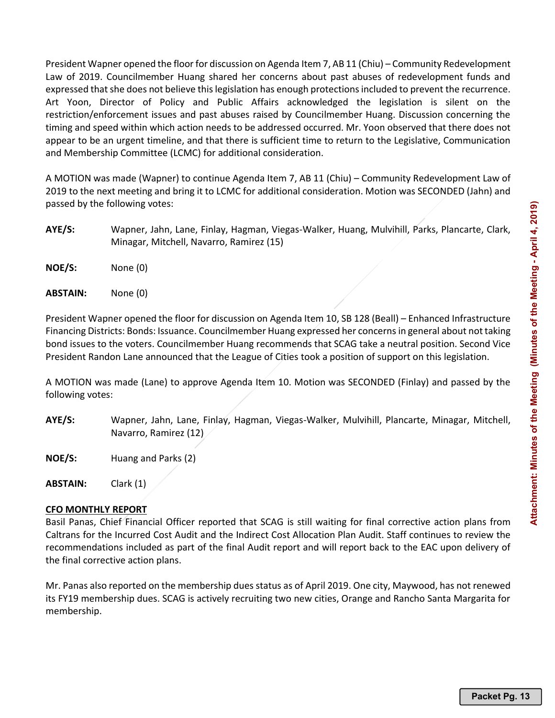President Wapner opened the floor for discussion on Agenda Item 7, AB 11 (Chiu) – Community Redevelopment Law of 2019. Councilmember Huang shared her concerns about past abuses of redevelopment funds and expressed that she does not believe this legislation has enough protections included to prevent the recurrence. Art Yoon, Director of Policy and Public Affairs acknowledged the legislation is silent on the restriction/enforcement issues and past abuses raised by Councilmember Huang. Discussion concerning the timing and speed within which action needs to be addressed occurred. Mr. Yoon observed that there does not appear to be an urgent timeline, and that there is sufficient time to return to the Legislative, Communication and Membership Committee (LCMC) for additional consideration.

A MOTION was made (Wapner) to continue Agenda Item 7, AB 11 (Chiu) – Community Redevelopment Law of 2019 to the next meeting and bring it to LCMC for additional consideration. Motion was SECONDED (Jahn) and passed by the following votes:

- **AYE/S:** Wapner, Jahn, Lane, Finlay, Hagman, Viegas-Walker, Huang, Mulvihill, Parks, Plancarte, Clark, Minagar, Mitchell, Navarro, Ramirez (15)
- **NOE/S:** None (0)
- **ABSTAIN:** None (0)

President Wapner opened the floor for discussion on Agenda Item 10, SB 128 (Beall) – Enhanced Infrastructure Financing Districts: Bonds: Issuance. Councilmember Huang expressed her concerns in general about not taking bond issues to the voters. Councilmember Huang recommends that SCAG take a neutral position. Second Vice President Randon Lane announced that the League of Cities took a position of support on this legislation.

A MOTION was made (Lane) to approve Agenda Item 10. Motion was SECONDED (Finlay) and passed by the following votes:

- **AYE/S:** Wapner, Jahn, Lane, Finlay, Hagman, Viegas-Walker, Mulvihill, Plancarte, Minagar, Mitchell, Navarro, Ramirez (12)
- **NOE/S:** Huang and Parks (2)

**ABSTAIN:** Clark (1)

## **CFO MONTHLY REPORT**

Basil Panas, Chief Financial Officer reported that SCAG is still waiting for final corrective action plans from Caltrans for the Incurred Cost Audit and the Indirect Cost Allocation Plan Audit. Staff continues to review the recommendations included as part of the final Audit report and will report back to the EAC upon delivery of the final corrective action plans.

Mr. Panas also reported on the membership dues status as of April 2019. One city, Maywood, has not renewed its FY19 membership dues. SCAG is actively recruiting two new cities, Orange and Rancho Santa Margarita for membership.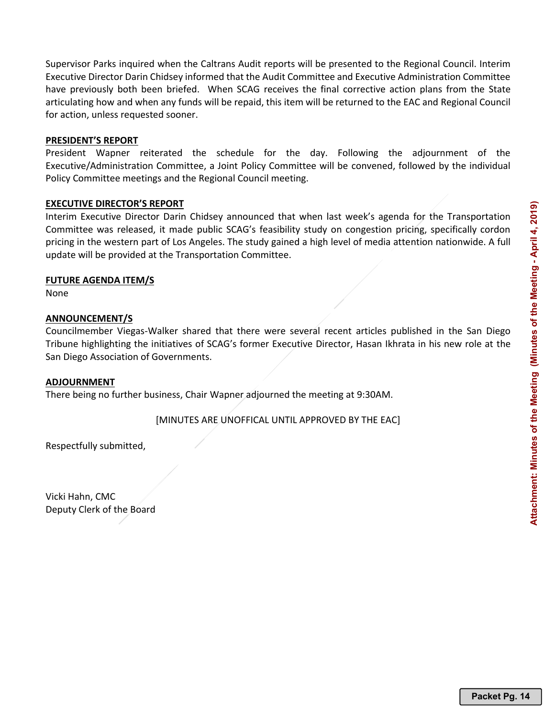Supervisor Parks inquired when the Caltrans Audit reports will be presented to the Regional Council. Interim Executive Director Darin Chidsey informed that the Audit Committee and Executive Administration Committee have previously both been briefed. When SCAG receives the final corrective action plans from the State articulating how and when any funds will be repaid, this item will be returned to the EAC and Regional Council for action, unless requested sooner.

### **PRESIDENT'S REPORT**

President Wapner reiterated the schedule for the day. Following the adjournment of the Executive/Administration Committee, a Joint Policy Committee will be convened, followed by the individual Policy Committee meetings and the Regional Council meeting.

## **EXECUTIVE DIRECTOR'S REPORT**

Interim Executive Director Darin Chidsey announced that when last week's agenda for the Transportation Committee was released, it made public SCAG's feasibility study on congestion pricing, specifically cordon pricing in the western part of Los Angeles. The study gained a high level of media attention nationwide. A full update will be provided at the Transportation Committee.

#### **FUTURE AGENDA ITEM/S**

None

## **ANNOUNCEMENT/S**

Councilmember Viegas-Walker shared that there were several recent articles published in the San Diego Tribune highlighting the initiatives of SCAG's former Executive Director, Hasan Ikhrata in his new role at the San Diego Association of Governments.

#### **ADJOURNMENT**

There being no further business, Chair Wapner adjourned the meeting at 9:30AM.

[MINUTES ARE UNOFFICAL UNTIL APPROVED BY THE EAC]

Respectfully submitted,

Vicki Hahn, CMC Deputy Clerk of the Board